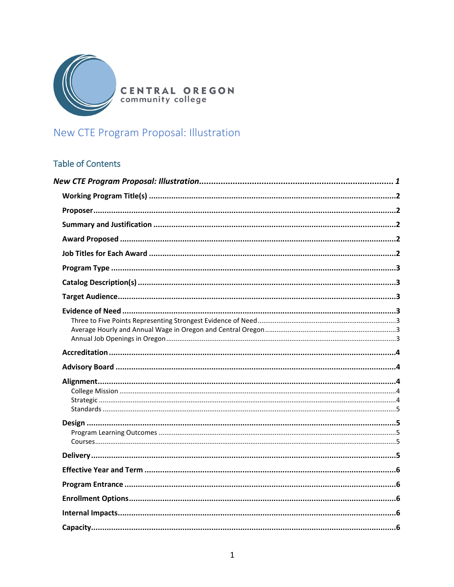

**CENTRAL OREGON**<br>community college

# <span id="page-0-0"></span>New CTE Program Proposal: Illustration

# **Table of Contents**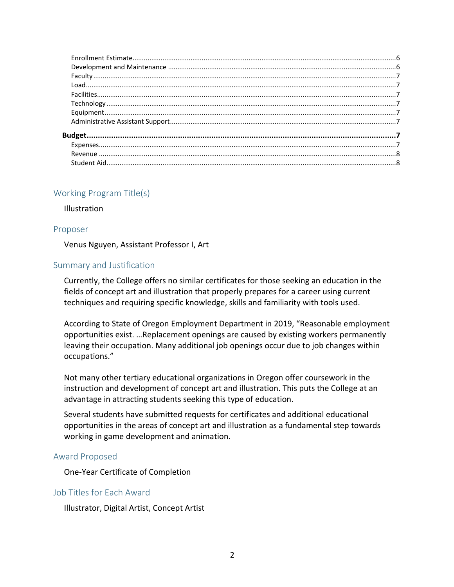# <span id="page-1-0"></span>Working Program Title(s)

**Illustration** 

#### <span id="page-1-1"></span>Proposer

Venus Nguyen, Assistant Professor I, Art

#### <span id="page-1-2"></span>Summary and Justification

Currently, the College offers no similar certificates for those seeking an education in the fields of concept art and illustration that properly prepares for a career using current techniques and requiring specific knowledge, skills and familiarity with tools used.

According to State of Oregon Employment Department in 2019, "Reasonable employment opportunities exist. …Replacement openings are caused by existing workers permanently leaving their occupation. Many additional job openings occur due to job changes within occupations."

Not many other tertiary educational organizations in Oregon offer coursework in the instruction and development of concept art and illustration. This puts the College at an advantage in attracting students seeking this type of education.

Several students have submitted requests for certificates and additional educational opportunities in the areas of concept art and illustration as a fundamental step towards working in game development and animation.

#### <span id="page-1-3"></span>Award Proposed

One-Year Certificate of Completion

#### <span id="page-1-4"></span>Job Titles for Each Award

Illustrator, Digital Artist, Concept Artist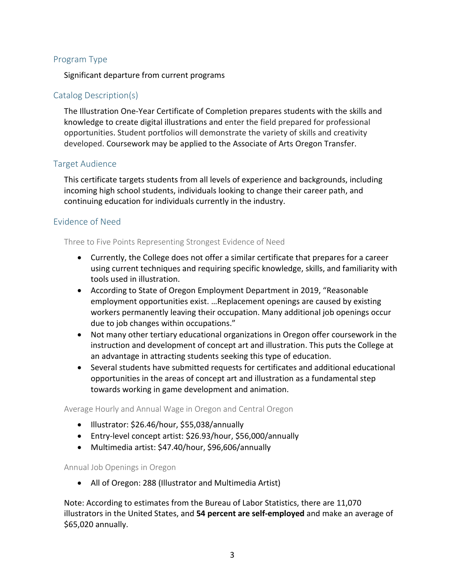# <span id="page-2-0"></span>Program Type

Significant departure from current programs

# <span id="page-2-1"></span>Catalog Description(s)

The Illustration One-Year Certificate of Completion prepares students with the skills and knowledge to create digital illustrations and enter the field prepared for professional opportunities. Student portfolios will demonstrate the variety of skills and creativity developed. Coursework may be applied to the Associate of Arts Oregon Transfer.

# <span id="page-2-2"></span>Target Audience

This certificate targets students from all levels of experience and backgrounds, including incoming high school students, individuals looking to change their career path, and continuing education for individuals currently in the industry.

# <span id="page-2-3"></span>Evidence of Need

<span id="page-2-4"></span>Three to Five Points Representing Strongest Evidence of Need

- Currently, the College does not offer a similar certificate that prepares for a career using current techniques and requiring specific knowledge, skills, and familiarity with tools used in illustration.
- According to State of Oregon Employment Department in 2019, "Reasonable employment opportunities exist. …Replacement openings are caused by existing workers permanently leaving their occupation. Many additional job openings occur due to job changes within occupations."
- Not many other tertiary educational organizations in Oregon offer coursework in the instruction and development of concept art and illustration. This puts the College at an advantage in attracting students seeking this type of education.
- Several students have submitted requests for certificates and additional educational opportunities in the areas of concept art and illustration as a fundamental step towards working in game development and animation.

<span id="page-2-5"></span>Average Hourly and Annual Wage in Oregon and Central Oregon

- Illustrator: \$26.46/hour, \$55,038/annually
- Entry-level concept artist: \$26.93/hour, \$56,000/annually
- Multimedia artist: \$47.40/hour, \$96,606/annually

#### <span id="page-2-6"></span>Annual Job Openings in Oregon

• All of Oregon: 288 (Illustrator and Multimedia Artist)

Note: According to estimates from the Bureau of Labor Statistics, there are 11,070 illustrators in the United States, and **54 percent are self-employed** and make an average of \$65,020 annually.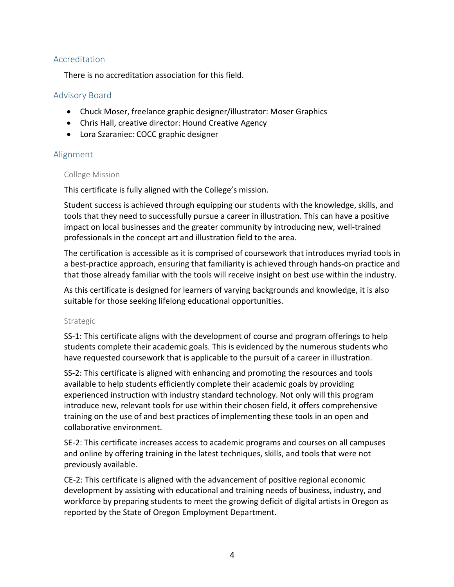# <span id="page-3-0"></span>Accreditation

There is no accreditation association for this field.

# <span id="page-3-1"></span>Advisory Board

- Chuck Moser, freelance graphic designer/illustrator: Moser Graphics
- Chris Hall, creative director: Hound Creative Agency
- Lora Szaraniec: COCC graphic designer

# <span id="page-3-2"></span>Alignment

#### <span id="page-3-3"></span>College Mission

This certificate is fully aligned with the College's mission.

Student success is achieved through equipping our students with the knowledge, skills, and tools that they need to successfully pursue a career in illustration. This can have a positive impact on local businesses and the greater community by introducing new, well-trained professionals in the concept art and illustration field to the area.

The certification is accessible as it is comprised of coursework that introduces myriad tools in a best-practice approach, ensuring that familiarity is achieved through hands-on practice and that those already familiar with the tools will receive insight on best use within the industry.

As this certificate is designed for learners of varying backgrounds and knowledge, it is also suitable for those seeking lifelong educational opportunities.

#### <span id="page-3-4"></span>Strategic

SS-1: This certificate aligns with the development of course and program offerings to help students complete their academic goals. This is evidenced by the numerous students who have requested coursework that is applicable to the pursuit of a career in illustration.

SS-2: This certificate is aligned with enhancing and promoting the resources and tools available to help students efficiently complete their academic goals by providing experienced instruction with industry standard technology. Not only will this program introduce new, relevant tools for use within their chosen field, it offers comprehensive training on the use of and best practices of implementing these tools in an open and collaborative environment.

SE-2: This certificate increases access to academic programs and courses on all campuses and online by offering training in the latest techniques, skills, and tools that were not previously available.

CE-2: This certificate is aligned with the advancement of positive regional economic development by assisting with educational and training needs of business, industry, and workforce by preparing students to meet the growing deficit of digital artists in Oregon as reported by the State of Oregon Employment Department.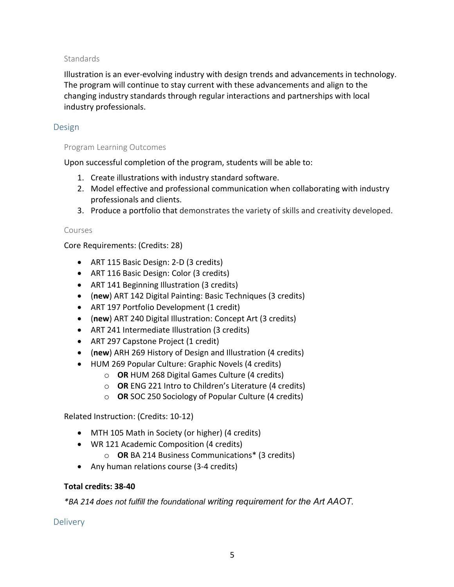## <span id="page-4-0"></span>**Standards**

Illustration is an ever-evolving industry with design trends and advancements in technology. The program will continue to stay current with these advancements and align to the changing industry standards through regular interactions and partnerships with local industry professionals.

## <span id="page-4-1"></span>Design

#### <span id="page-4-2"></span>Program Learning Outcomes

Upon successful completion of the program, students will be able to:

- 1. Create illustrations with industry standard software.
- 2. Model effective and professional communication when collaborating with industry professionals and clients.
- 3. Produce a portfolio that demonstrates the variety of skills and creativity developed.

#### <span id="page-4-3"></span>Courses

Core Requirements: (Credits: 28)

- ART 115 Basic Design: 2-D (3 credits)
- ART 116 Basic Design: Color (3 credits)
- ART 141 Beginning Illustration (3 credits)
- (**new**) ART 142 Digital Painting: Basic Techniques (3 credits)
- ART 197 Portfolio Development (1 credit)
- (**new**) ART 240 Digital Illustration: Concept Art (3 credits)
- ART 241 Intermediate Illustration (3 credits)
- ART 297 Capstone Project (1 credit)
- (**new**) ARH 269 History of Design and Illustration (4 credits)
- HUM 269 Popular Culture: Graphic Novels (4 credits)
	- o **OR** HUM 268 Digital Games Culture (4 credits)
	- o **OR** ENG 221 Intro to Children's Literature (4 credits)
	- o **OR** SOC 250 Sociology of Popular Culture (4 credits)

Related Instruction: (Credits: 10-12)

- MTH 105 Math in Society (or higher) (4 credits)
- WR 121 Academic Composition (4 credits)
	- o **OR** BA 214 Business Communications\* (3 credits)
- Any human relations course (3-4 credits)

# **Total credits: 38-40**

*\*BA 214 does not fulfill the foundational writing requirement for the Art AAOT.*

<span id="page-4-4"></span>**Delivery**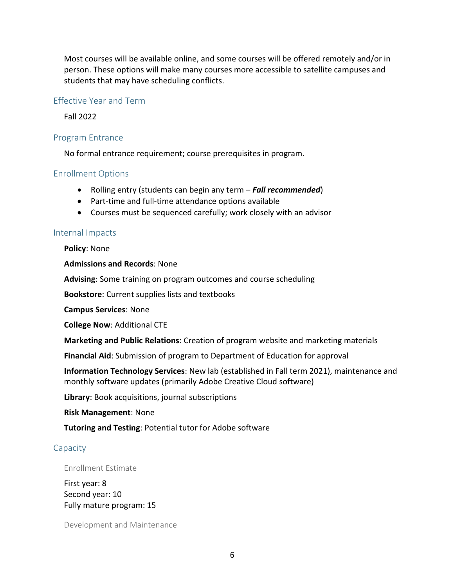Most courses will be available online, and some courses will be offered remotely and/or in person. These options will make many courses more accessible to satellite campuses and students that may have scheduling conflicts.

#### <span id="page-5-0"></span>Effective Year and Term

Fall 2022

#### <span id="page-5-1"></span>Program Entrance

No formal entrance requirement; course prerequisites in program.

# <span id="page-5-2"></span>Enrollment Options

- Rolling entry (students can begin any term *Fall recommended*)
- Part-time and full-time attendance options available
- Courses must be sequenced carefully; work closely with an advisor

#### <span id="page-5-3"></span>Internal Impacts

**Policy**: None

#### **Admissions and Records**: None

**Advising**: Some training on program outcomes and course scheduling

**Bookstore**: Current supplies lists and textbooks

**Campus Services**: None

**College Now**: Additional CTE

**Marketing and Public Relations**: Creation of program website and marketing materials

**Financial Aid**: Submission of program to Department of Education for approval

**Information Technology Services**: New lab (established in Fall term 2021), maintenance and monthly software updates (primarily Adobe Creative Cloud software)

**Library**: Book acquisitions, journal subscriptions

**Risk Management**: None

**Tutoring and Testing**: Potential tutor for Adobe software

#### <span id="page-5-4"></span>**Capacity**

#### <span id="page-5-5"></span>Enrollment Estimate

First year: 8 Second year: 10 Fully mature program: 15

<span id="page-5-6"></span>Development and Maintenance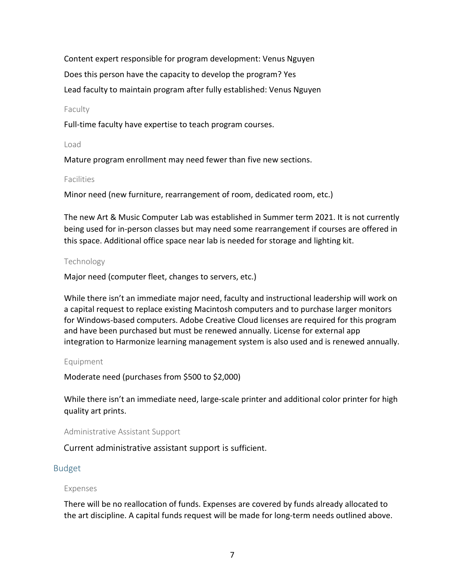Content expert responsible for program development: Venus Nguyen Does this person have the capacity to develop the program? Yes Lead faculty to maintain program after fully established: Venus Nguyen

#### <span id="page-6-0"></span>Faculty

Full-time faculty have expertise to teach program courses.

#### <span id="page-6-1"></span>Load

Mature program enrollment may need fewer than five new sections.

#### <span id="page-6-2"></span>Facilities

Minor need (new furniture, rearrangement of room, dedicated room, etc.)

The new Art & Music Computer Lab was established in Summer term 2021. It is not currently being used for in-person classes but may need some rearrangement if courses are offered in this space. Additional office space near lab is needed for storage and lighting kit.

# <span id="page-6-3"></span>Technology

Major need (computer fleet, changes to servers, etc.)

While there isn't an immediate major need, faculty and instructional leadership will work on a capital request to replace existing Macintosh computers and to purchase larger monitors for Windows-based computers. Adobe Creative Cloud licenses are required for this program and have been purchased but must be renewed annually. License for external app integration to Harmonize learning management system is also used and is renewed annually.

#### <span id="page-6-4"></span>Equipment

Moderate need (purchases from \$500 to \$2,000)

While there isn't an immediate need, large-scale printer and additional color printer for high quality art prints.

# <span id="page-6-5"></span>Administrative Assistant Support

Current administrative assistant support is sufficient.

# <span id="page-6-6"></span>Budget

# <span id="page-6-7"></span>Expenses

There will be no reallocation of funds. Expenses are covered by funds already allocated to the art discipline. A capital funds request will be made for long-term needs outlined above.